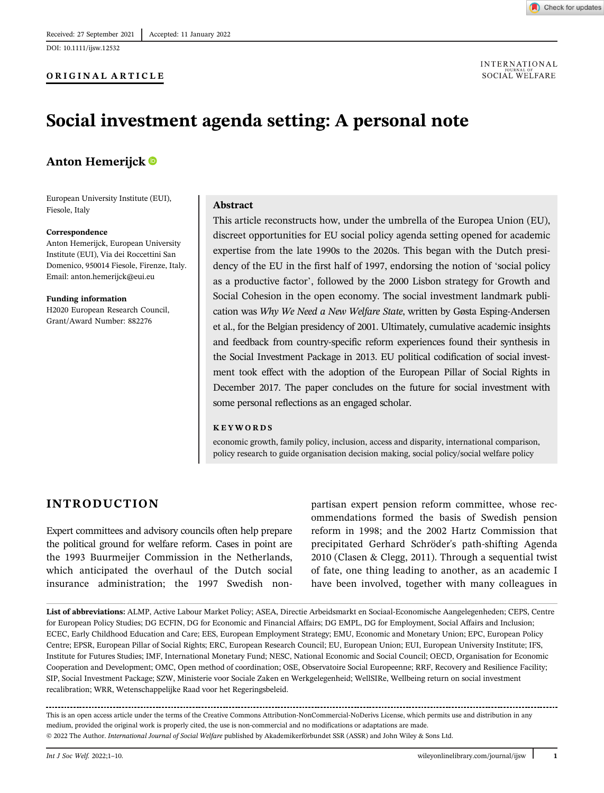DOI: 10.1111/ijsw.12532



**INTERNATIONAL** SOCIAL WELFARE

# Social investment agenda setting: A personal note

# Anton Hemerijck

European University Institute (EUI), Fiesole, Italy

#### Correspondence

Anton Hemerijck, European University Institute (EUI), Via dei Roccettini San Domenico, 950014 Fiesole, Firenze, Italy. Email: [anton.hemerijck@eui.eu](mailto:anton.hemerijck@eui.eu)

Funding information H2020 European Research Council, Grant/Award Number: 882276

### Abstract

This article reconstructs how, under the umbrella of the Europea Union (EU), discreet opportunities for EU social policy agenda setting opened for academic expertise from the late 1990s to the 2020s. This began with the Dutch presidency of the EU in the first half of 1997, endorsing the notion of 'social policy as a productive factor', followed by the 2000 Lisbon strategy for Growth and Social Cohesion in the open economy. The social investment landmark publication was Why We Need a New Welfare State, written by Gøsta Esping-Andersen et al., for the Belgian presidency of 2001. Ultimately, cumulative academic insights and feedback from country-specific reform experiences found their synthesis in the Social Investment Package in 2013. EU political codification of social investment took effect with the adoption of the European Pillar of Social Rights in December 2017. The paper concludes on the future for social investment with some personal reflections as an engaged scholar.

#### KEYWORDS

economic growth, family policy, inclusion, access and disparity, international comparison, policy research to guide organisation decision making, social policy/social welfare policy

## INTRODUCTION

Expert committees and advisory councils often help prepare the political ground for welfare reform. Cases in point are the 1993 Buurmeijer Commission in the Netherlands, which anticipated the overhaul of the Dutch social insurance administration; the 1997 Swedish non-

partisan expert pension reform committee, whose recommendations formed the basis of Swedish pension reform in 1998; and the 2002 Hartz Commission that precipitated Gerhard Schröder's path-shifting Agenda 2010 (Clasen & Clegg, 2011). Through a sequential twist of fate, one thing leading to another, as an academic I have been involved, together with many colleagues in

List of abbreviations: ALMP, Active Labour Market Policy; ASEA, Directie Arbeidsmarkt en Sociaal‐Economische Aangelegenheden; CEPS, Centre for European Policy Studies; DG ECFIN, DG for Economic and Financial Affairs; DG EMPL, DG for Employment, Social Affairs and Inclusion; ECEC, Early Childhood Education and Care; EES, European Employment Strategy; EMU, Economic and Monetary Union; EPC, European Policy Centre; EPSR, European Pillar of Social Rights; ERC, European Research Council; EU, European Union; EUI, European University Institute; IFS, Institute for Futures Studies; IMF, International Monetary Fund; NESC, National Economic and Social Council; OECD, Organisation for Economic Cooperation and Development; OMC, Open method of coordination; OSE, Observatoire Social Europeenne; RRF, Recovery and Resilience Facility; SIP, Social Investment Package; SZW, Ministerie voor Sociale Zaken en Werkgelegenheid; WellSIRe, Wellbeing return on social investment recalibration; WRR, Wetenschappelijke Raad voor het Regeringsbeleid.

This is an open access article under the terms of the [Creative Commons Attribution-NonCommercial-NoDerivs](http://creativecommons.org/licenses/by-nc-nd/4.0/) License, which permits use and distribution in any medium, provided the original work is properly cited, the use is non-commercial and no modifications or adaptations are made. © 2022 The Author. International Journal of Social Welfare published by Akademikerförbundet SSR (ASSR) and John Wiley & Sons Ltd.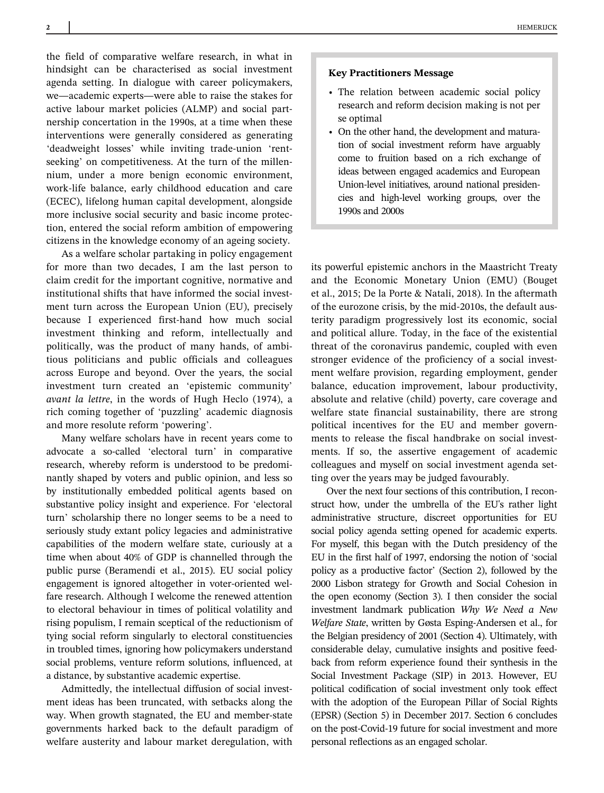the field of comparative welfare research, in what in hindsight can be characterised as social investment agenda setting. In dialogue with career policymakers, we—academic experts—were able to raise the stakes for active labour market policies (ALMP) and social partnership concertation in the 1990s, at a time when these interventions were generally considered as generating 'deadweight losses' while inviting trade-union 'rentseeking' on competitiveness. At the turn of the millennium, under a more benign economic environment, work-life balance, early childhood education and care (ECEC), lifelong human capital development, alongside more inclusive social security and basic income protection, entered the social reform ambition of empowering citizens in the knowledge economy of an ageing society.

As a welfare scholar partaking in policy engagement for more than two decades, I am the last person to claim credit for the important cognitive, normative and institutional shifts that have informed the social investment turn across the European Union (EU), precisely because I experienced first-hand how much social investment thinking and reform, intellectually and politically, was the product of many hands, of ambitious politicians and public officials and colleagues across Europe and beyond. Over the years, the social investment turn created an 'epistemic community' avant la lettre, in the words of Hugh Heclo (1974), a rich coming together of 'puzzling' academic diagnosis and more resolute reform 'powering'.

Many welfare scholars have in recent years come to advocate a so-called 'electoral turn' in comparative research, whereby reform is understood to be predominantly shaped by voters and public opinion, and less so by institutionally embedded political agents based on substantive policy insight and experience. For 'electoral turn' scholarship there no longer seems to be a need to seriously study extant policy legacies and administrative capabilities of the modern welfare state, curiously at a time when about 40% of GDP is channelled through the public purse (Beramendi et al., 2015). EU social policy engagement is ignored altogether in voter-oriented welfare research. Although I welcome the renewed attention to electoral behaviour in times of political volatility and rising populism, I remain sceptical of the reductionism of tying social reform singularly to electoral constituencies in troubled times, ignoring how policymakers understand social problems, venture reform solutions, influenced, at a distance, by substantive academic expertise.

Admittedly, the intellectual diffusion of social investment ideas has been truncated, with setbacks along the way. When growth stagnated, the EU and member-state governments harked back to the default paradigm of welfare austerity and labour market deregulation, with

#### Key Practitioners Message

- The relation between academic social policy research and reform decision making is not per se optimal
- On the other hand, the development and maturation of social investment reform have arguably come to fruition based on a rich exchange of ideas between engaged academics and European Union-level initiatives, around national presidencies and high-level working groups, over the 1990s and 2000s

its powerful epistemic anchors in the Maastricht Treaty and the Economic Monetary Union (EMU) (Bouget et al., 2015; De la Porte & Natali, 2018). In the aftermath of the eurozone crisis, by the mid-2010s, the default austerity paradigm progressively lost its economic, social and political allure. Today, in the face of the existential threat of the coronavirus pandemic, coupled with even stronger evidence of the proficiency of a social investment welfare provision, regarding employment, gender balance, education improvement, labour productivity, absolute and relative (child) poverty, care coverage and welfare state financial sustainability, there are strong political incentives for the EU and member governments to release the fiscal handbrake on social investments. If so, the assertive engagement of academic colleagues and myself on social investment agenda setting over the years may be judged favourably.

Over the next four sections of this contribution, I reconstruct how, under the umbrella of the EU's rather light administrative structure, discreet opportunities for EU social policy agenda setting opened for academic experts. For myself, this began with the Dutch presidency of the EU in the first half of 1997, endorsing the notion of 'social policy as a productive factor' (Section 2), followed by the 2000 Lisbon strategy for Growth and Social Cohesion in the open economy (Section 3). I then consider the social investment landmark publication Why We Need a New Welfare State, written by Gøsta Esping-Andersen et al., for the Belgian presidency of 2001 (Section 4). Ultimately, with considerable delay, cumulative insights and positive feedback from reform experience found their synthesis in the Social Investment Package (SIP) in 2013. However, EU political codification of social investment only took effect with the adoption of the European Pillar of Social Rights (EPSR) (Section 5) in December 2017. Section 6 concludes on the post-Covid-19 future for social investment and more personal reflections as an engaged scholar.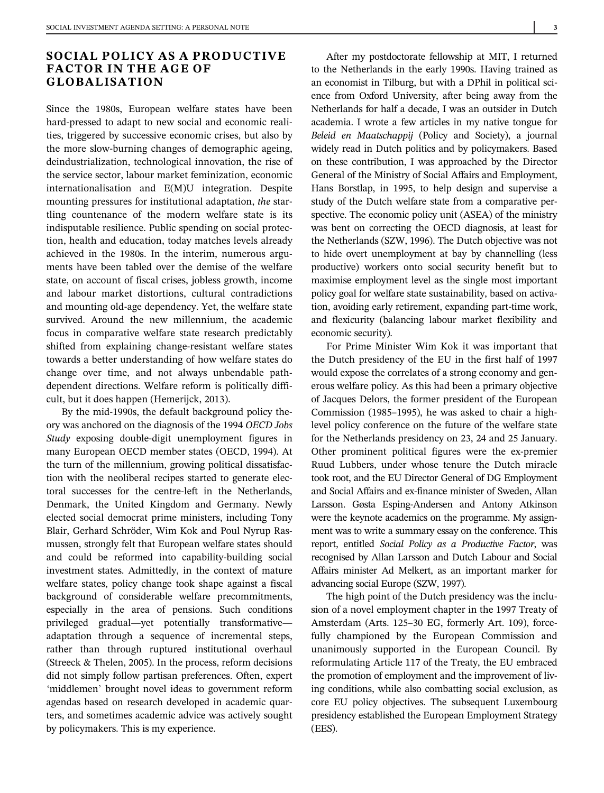# SOCIAL POLICY AS A PRODUCTIVE FACTOR IN THE AGE OF GLOBALISATION

Since the 1980s, European welfare states have been hard-pressed to adapt to new social and economic realities, triggered by successive economic crises, but also by the more slow-burning changes of demographic ageing, deindustrialization, technological innovation, the rise of the service sector, labour market feminization, economic internationalisation and E(M)U integration. Despite mounting pressures for institutional adaptation, the startling countenance of the modern welfare state is its indisputable resilience. Public spending on social protection, health and education, today matches levels already achieved in the 1980s. In the interim, numerous arguments have been tabled over the demise of the welfare state, on account of fiscal crises, jobless growth, income and labour market distortions, cultural contradictions and mounting old-age dependency. Yet, the welfare state survived. Around the new millennium, the academic focus in comparative welfare state research predictably shifted from explaining change-resistant welfare states towards a better understanding of how welfare states do change over time, and not always unbendable pathdependent directions. Welfare reform is politically difficult, but it does happen (Hemerijck, 2013).

By the mid-1990s, the default background policy theory was anchored on the diagnosis of the 1994 OECD Jobs Study exposing double-digit unemployment figures in many European OECD member states (OECD, 1994). At the turn of the millennium, growing political dissatisfaction with the neoliberal recipes started to generate electoral successes for the centre-left in the Netherlands, Denmark, the United Kingdom and Germany. Newly elected social democrat prime ministers, including Tony Blair, Gerhard Schröder, Wim Kok and Poul Nyrup Rasmussen, strongly felt that European welfare states should and could be reformed into capability-building social investment states. Admittedly, in the context of mature welfare states, policy change took shape against a fiscal background of considerable welfare precommitments, especially in the area of pensions. Such conditions privileged gradual—yet potentially transformative adaptation through a sequence of incremental steps, rather than through ruptured institutional overhaul (Streeck & Thelen, 2005). In the process, reform decisions did not simply follow partisan preferences. Often, expert 'middlemen' brought novel ideas to government reform agendas based on research developed in academic quarters, and sometimes academic advice was actively sought by policymakers. This is my experience.

After my postdoctorate fellowship at MIT, I returned to the Netherlands in the early 1990s. Having trained as an economist in Tilburg, but with a DPhil in political science from Oxford University, after being away from the Netherlands for half a decade, I was an outsider in Dutch academia. I wrote a few articles in my native tongue for Beleid en Maatschappij (Policy and Society), a journal widely read in Dutch politics and by policymakers. Based on these contribution, I was approached by the Director General of the Ministry of Social Affairs and Employment, Hans Borstlap, in 1995, to help design and supervise a study of the Dutch welfare state from a comparative perspective. The economic policy unit (ASEA) of the ministry was bent on correcting the OECD diagnosis, at least for the Netherlands (SZW, 1996). The Dutch objective was not to hide overt unemployment at bay by channelling (less productive) workers onto social security benefit but to maximise employment level as the single most important policy goal for welfare state sustainability, based on activation, avoiding early retirement, expanding part-time work, and flexicurity (balancing labour market flexibility and economic security).

For Prime Minister Wim Kok it was important that the Dutch presidency of the EU in the first half of 1997 would expose the correlates of a strong economy and generous welfare policy. As this had been a primary objective of Jacques Delors, the former president of the European Commission (1985–1995), he was asked to chair a highlevel policy conference on the future of the welfare state for the Netherlands presidency on 23, 24 and 25 January. Other prominent political figures were the ex-premier Ruud Lubbers, under whose tenure the Dutch miracle took root, and the EU Director General of DG Employment and Social Affairs and ex-finance minister of Sweden, Allan Larsson. Gøsta Esping-Andersen and Antony Atkinson were the keynote academics on the programme. My assignment was to write a summary essay on the conference. This report, entitled Social Policy as a Productive Factor, was recognised by Allan Larsson and Dutch Labour and Social Affairs minister Ad Melkert, as an important marker for advancing social Europe (SZW, 1997).

The high point of the Dutch presidency was the inclusion of a novel employment chapter in the 1997 Treaty of Amsterdam (Arts. 125–30 EG, formerly Art. 109), forcefully championed by the European Commission and unanimously supported in the European Council. By reformulating Article 117 of the Treaty, the EU embraced the promotion of employment and the improvement of living conditions, while also combatting social exclusion, as core EU policy objectives. The subsequent Luxembourg presidency established the European Employment Strategy (EES).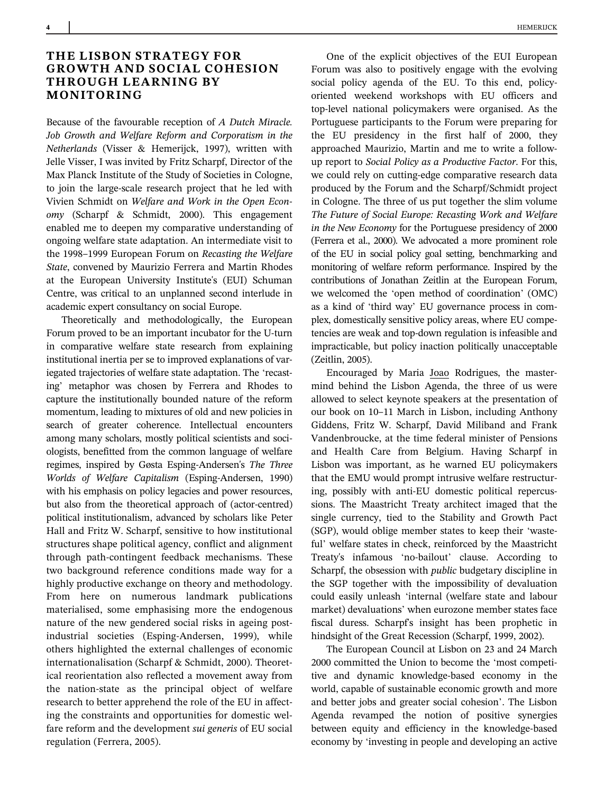# THE LISBON STRATEGY FOR GROWTH AND SOCIAL COHESION THROUGH LEARNING BY MONITORING

Because of the favourable reception of A Dutch Miracle. Job Growth and Welfare Reform and Corporatism in the Netherlands (Visser & Hemerijck, 1997), written with Jelle Visser, I was invited by Fritz Scharpf, Director of the Max Planck Institute of the Study of Societies in Cologne, to join the large-scale research project that he led with Vivien Schmidt on Welfare and Work in the Open Economy (Scharpf & Schmidt, 2000). This engagement enabled me to deepen my comparative understanding of ongoing welfare state adaptation. An intermediate visit to the 1998–1999 European Forum on Recasting the Welfare State, convened by Maurizio Ferrera and Martin Rhodes at the European University Institute's (EUI) Schuman Centre, was critical to an unplanned second interlude in academic expert consultancy on social Europe.

Theoretically and methodologically, the European Forum proved to be an important incubator for the U-turn in comparative welfare state research from explaining institutional inertia per se to improved explanations of variegated trajectories of welfare state adaptation. The 'recasting' metaphor was chosen by Ferrera and Rhodes to capture the institutionally bounded nature of the reform momentum, leading to mixtures of old and new policies in search of greater coherence. Intellectual encounters among many scholars, mostly political scientists and sociologists, benefitted from the common language of welfare regimes, inspired by Gøsta Esping-Andersen's The Three Worlds of Welfare Capitalism (Esping-Andersen, 1990) with his emphasis on policy legacies and power resources, but also from the theoretical approach of (actor-centred) political institutionalism, advanced by scholars like Peter Hall and Fritz W. Scharpf, sensitive to how institutional structures shape political agency, conflict and alignment through path-contingent feedback mechanisms. These two background reference conditions made way for a highly productive exchange on theory and methodology. From here on numerous landmark publications materialised, some emphasising more the endogenous nature of the new gendered social risks in ageing postindustrial societies (Esping-Andersen, 1999), while others highlighted the external challenges of economic internationalisation (Scharpf & Schmidt, 2000). Theoretical reorientation also reflected a movement away from the nation-state as the principal object of welfare research to better apprehend the role of the EU in affecting the constraints and opportunities for domestic welfare reform and the development sui generis of EU social regulation (Ferrera, 2005).

One of the explicit objectives of the EUI European Forum was also to positively engage with the evolving social policy agenda of the EU. To this end, policyoriented weekend workshops with EU officers and top-level national policymakers were organised. As the Portuguese participants to the Forum were preparing for the EU presidency in the first half of 2000, they approached Maurizio, Martin and me to write a followup report to Social Policy as a Productive Factor. For this, we could rely on cutting-edge comparative research data produced by the Forum and the Scharpf/Schmidt project in Cologne. The three of us put together the slim volume The Future of Social Europe: Recasting Work and Welfare in the New Economy for the Portuguese presidency of 2000 (Ferrera et al., 2000). We advocated a more prominent role of the EU in social policy goal setting, benchmarking and monitoring of welfare reform performance. Inspired by the contributions of Jonathan Zeitlin at the European Forum, we welcomed the 'open method of coordination' (OMC) as a kind of 'third way' EU governance process in complex, domestically sensitive policy areas, where EU competencies are weak and top-down regulation is infeasible and impracticable, but policy inaction politically unacceptable (Zeitlin, 2005).

Encouraged by Maria Joao Rodrigues, the mastermind behind the Lisbon Agenda, the three of us were allowed to select keynote speakers at the presentation of our book on 10–11 March in Lisbon, including Anthony Giddens, Fritz W. Scharpf, David Miliband and Frank Vandenbroucke, at the time federal minister of Pensions and Health Care from Belgium. Having Scharpf in Lisbon was important, as he warned EU policymakers that the EMU would prompt intrusive welfare restructuring, possibly with anti-EU domestic political repercussions. The Maastricht Treaty architect imaged that the single currency, tied to the Stability and Growth Pact (SGP), would oblige member states to keep their 'wasteful' welfare states in check, reinforced by the Maastricht Treaty's infamous 'no-bailout' clause. According to Scharpf, the obsession with public budgetary discipline in the SGP together with the impossibility of devaluation could easily unleash 'internal (welfare state and labour market) devaluations' when eurozone member states face fiscal duress. Scharpf's insight has been prophetic in hindsight of the Great Recession (Scharpf, 1999, 2002).

The European Council at Lisbon on 23 and 24 March 2000 committed the Union to become the 'most competitive and dynamic knowledge-based economy in the world, capable of sustainable economic growth and more and better jobs and greater social cohesion'. The Lisbon Agenda revamped the notion of positive synergies between equity and efficiency in the knowledge-based economy by 'investing in people and developing an active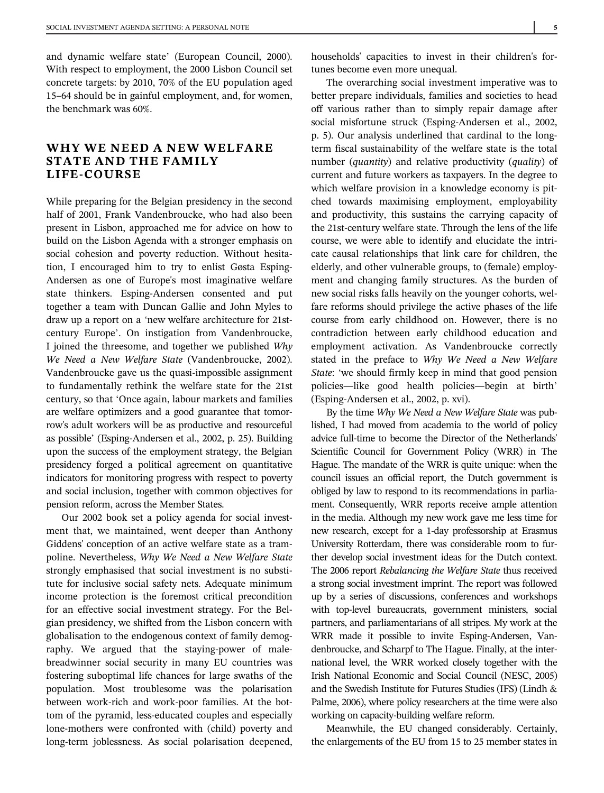and dynamic welfare state' (European Council, 2000). With respect to employment, the 2000 Lisbon Council set concrete targets: by 2010, 70% of the EU population aged 15–64 should be in gainful employment, and, for women, the benchmark was 60%.

# WHY WE NEED A NEW WELFARE STATE AND THE FAMILY LIFE-COURSE

While preparing for the Belgian presidency in the second half of 2001, Frank Vandenbroucke, who had also been present in Lisbon, approached me for advice on how to build on the Lisbon Agenda with a stronger emphasis on social cohesion and poverty reduction. Without hesitation, I encouraged him to try to enlist Gøsta Esping-Andersen as one of Europe's most imaginative welfare state thinkers. Esping-Andersen consented and put together a team with Duncan Gallie and John Myles to draw up a report on a 'new welfare architecture for 21stcentury Europe'. On instigation from Vandenbroucke, I joined the threesome, and together we published Why We Need a New Welfare State (Vandenbroucke, 2002). Vandenbroucke gave us the quasi-impossible assignment to fundamentally rethink the welfare state for the 21st century, so that 'Once again, labour markets and families are welfare optimizers and a good guarantee that tomorrow's adult workers will be as productive and resourceful as possible' (Esping-Andersen et al., 2002, p. 25). Building upon the success of the employment strategy, the Belgian presidency forged a political agreement on quantitative indicators for monitoring progress with respect to poverty and social inclusion, together with common objectives for pension reform, across the Member States.

Our 2002 book set a policy agenda for social investment that, we maintained, went deeper than Anthony Giddens' conception of an active welfare state as a trampoline. Nevertheless, Why We Need a New Welfare State strongly emphasised that social investment is no substitute for inclusive social safety nets. Adequate minimum income protection is the foremost critical precondition for an effective social investment strategy. For the Belgian presidency, we shifted from the Lisbon concern with globalisation to the endogenous context of family demography. We argued that the staying-power of malebreadwinner social security in many EU countries was fostering suboptimal life chances for large swaths of the population. Most troublesome was the polarisation between work-rich and work-poor families. At the bottom of the pyramid, less-educated couples and especially lone-mothers were confronted with (child) poverty and long-term joblessness. As social polarisation deepened, households' capacities to invest in their children's fortunes become even more unequal.

The overarching social investment imperative was to better prepare individuals, families and societies to head off various rather than to simply repair damage after social misfortune struck (Esping-Andersen et al., 2002, p. 5). Our analysis underlined that cardinal to the longterm fiscal sustainability of the welfare state is the total number (quantity) and relative productivity (quality) of current and future workers as taxpayers. In the degree to which welfare provision in a knowledge economy is pitched towards maximising employment, employability and productivity, this sustains the carrying capacity of the 21st-century welfare state. Through the lens of the life course, we were able to identify and elucidate the intricate causal relationships that link care for children, the elderly, and other vulnerable groups, to (female) employment and changing family structures. As the burden of new social risks falls heavily on the younger cohorts, welfare reforms should privilege the active phases of the life course from early childhood on. However, there is no contradiction between early childhood education and employment activation. As Vandenbroucke correctly stated in the preface to Why We Need a New Welfare State: 'we should firmly keep in mind that good pension policies—like good health policies—begin at birth' (Esping-Andersen et al., 2002, p. xvi).

By the time Why We Need a New Welfare State was published, I had moved from academia to the world of policy advice full-time to become the Director of the Netherlands' Scientific Council for Government Policy (WRR) in The Hague. The mandate of the WRR is quite unique: when the council issues an official report, the Dutch government is obliged by law to respond to its recommendations in parliament. Consequently, WRR reports receive ample attention in the media. Although my new work gave me less time for new research, except for a 1-day professorship at Erasmus University Rotterdam, there was considerable room to further develop social investment ideas for the Dutch context. The 2006 report Rebalancing the Welfare State thus received a strong social investment imprint. The report was followed up by a series of discussions, conferences and workshops with top-level bureaucrats, government ministers, social partners, and parliamentarians of all stripes. My work at the WRR made it possible to invite Esping-Andersen, Vandenbroucke, and Scharpf to The Hague. Finally, at the international level, the WRR worked closely together with the Irish National Economic and Social Council (NESC, 2005) and the Swedish Institute for Futures Studies (IFS) (Lindh & Palme, 2006), where policy researchers at the time were also working on capacity-building welfare reform.

Meanwhile, the EU changed considerably. Certainly, the enlargements of the EU from 15 to 25 member states in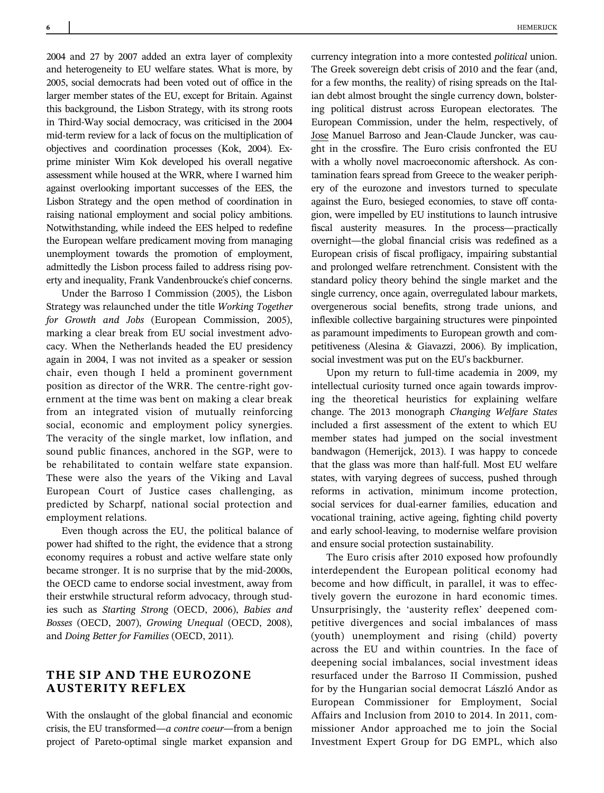2004 and 27 by 2007 added an extra layer of complexity and heterogeneity to EU welfare states. What is more, by 2005, social democrats had been voted out of office in the larger member states of the EU, except for Britain. Against this background, the Lisbon Strategy, with its strong roots in Third-Way social democracy, was criticised in the 2004 mid-term review for a lack of focus on the multiplication of objectives and coordination processes (Kok, 2004). Exprime minister Wim Kok developed his overall negative assessment while housed at the WRR, where I warned him against overlooking important successes of the EES, the Lisbon Strategy and the open method of coordination in raising national employment and social policy ambitions. Notwithstanding, while indeed the EES helped to redefine the European welfare predicament moving from managing unemployment towards the promotion of employment, admittedly the Lisbon process failed to address rising poverty and inequality, Frank Vandenbroucke's chief concerns.

Under the Barroso I Commission (2005), the Lisbon Strategy was relaunched under the title Working Together for Growth and Jobs (European Commission, 2005), marking a clear break from EU social investment advocacy. When the Netherlands headed the EU presidency again in 2004, I was not invited as a speaker or session chair, even though I held a prominent government position as director of the WRR. The centre-right government at the time was bent on making a clear break from an integrated vision of mutually reinforcing social, economic and employment policy synergies. The veracity of the single market, low inflation, and sound public finances, anchored in the SGP, were to be rehabilitated to contain welfare state expansion. These were also the years of the Viking and Laval European Court of Justice cases challenging, as predicted by Scharpf, national social protection and employment relations.

Even though across the EU, the political balance of power had shifted to the right, the evidence that a strong economy requires a robust and active welfare state only became stronger. It is no surprise that by the mid-2000s, the OECD came to endorse social investment, away from their erstwhile structural reform advocacy, through studies such as Starting Strong (OECD, 2006), Babies and Bosses (OECD, 2007), Growing Unequal (OECD, 2008), and Doing Better for Families (OECD, 2011).

## THE SIP AND THE EUROZONE AUSTERITY REFLEX

With the onslaught of the global financial and economic crisis, the EU transformed—a contre coeur—from a benign project of Pareto-optimal single market expansion and

currency integration into a more contested political union. The Greek sovereign debt crisis of 2010 and the fear (and, for a few months, the reality) of rising spreads on the Italian debt almost brought the single currency down, bolstering political distrust across European electorates. The European Commission, under the helm, respectively, of Jose Manuel Barroso and Jean-Claude Juncker, was caught in the crossfire. The Euro crisis confronted the EU with a wholly novel macroeconomic aftershock. As contamination fears spread from Greece to the weaker periphery of the eurozone and investors turned to speculate against the Euro, besieged economies, to stave off contagion, were impelled by EU institutions to launch intrusive fiscal austerity measures. In the process—practically overnight—the global financial crisis was redefined as a European crisis of fiscal profligacy, impairing substantial and prolonged welfare retrenchment. Consistent with the standard policy theory behind the single market and the single currency, once again, overregulated labour markets, overgenerous social benefits, strong trade unions, and inflexible collective bargaining structures were pinpointed as paramount impediments to European growth and competitiveness (Alesina & Giavazzi, 2006). By implication, social investment was put on the EU's backburner.

Upon my return to full-time academia in 2009, my intellectual curiosity turned once again towards improving the theoretical heuristics for explaining welfare change. The 2013 monograph Changing Welfare States included a first assessment of the extent to which EU member states had jumped on the social investment bandwagon (Hemerijck, 2013). I was happy to concede that the glass was more than half-full. Most EU welfare states, with varying degrees of success, pushed through reforms in activation, minimum income protection, social services for dual-earner families, education and vocational training, active ageing, fighting child poverty and early school-leaving, to modernise welfare provision and ensure social protection sustainability.

The Euro crisis after 2010 exposed how profoundly interdependent the European political economy had become and how difficult, in parallel, it was to effectively govern the eurozone in hard economic times. Unsurprisingly, the 'austerity reflex' deepened competitive divergences and social imbalances of mass (youth) unemployment and rising (child) poverty across the EU and within countries. In the face of deepening social imbalances, social investment ideas resurfaced under the Barroso II Commission, pushed for by the Hungarian social democrat László Andor as European Commissioner for Employment, Social Affairs and Inclusion from 2010 to 2014. In 2011, commissioner Andor approached me to join the Social Investment Expert Group for DG EMPL, which also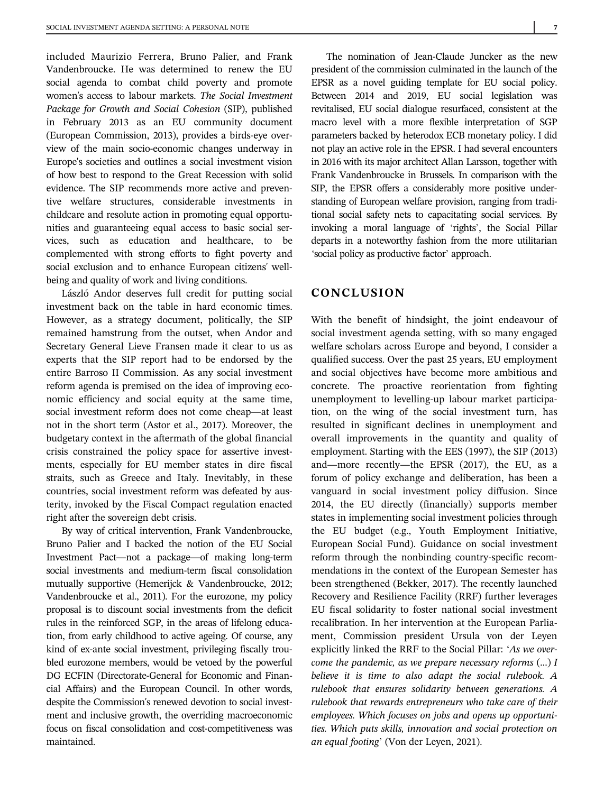included Maurizio Ferrera, Bruno Palier, and Frank Vandenbroucke. He was determined to renew the EU social agenda to combat child poverty and promote women's access to labour markets. The Social Investment Package for Growth and Social Cohesion (SIP), published in February 2013 as an EU community document (European Commission, 2013), provides a birds-eye overview of the main socio-economic changes underway in Europe's societies and outlines a social investment vision of how best to respond to the Great Recession with solid evidence. The SIP recommends more active and preventive welfare structures, considerable investments in childcare and resolute action in promoting equal opportunities and guaranteeing equal access to basic social services, such as education and healthcare, to be complemented with strong efforts to fight poverty and social exclusion and to enhance European citizens' wellbeing and quality of work and living conditions.

László Andor deserves full credit for putting social investment back on the table in hard economic times. However, as a strategy document, politically, the SIP remained hamstrung from the outset, when Andor and Secretary General Lieve Fransen made it clear to us as experts that the SIP report had to be endorsed by the entire Barroso II Commission. As any social investment reform agenda is premised on the idea of improving economic efficiency and social equity at the same time, social investment reform does not come cheap—at least not in the short term (Astor et al., 2017). Moreover, the budgetary context in the aftermath of the global financial crisis constrained the policy space for assertive investments, especially for EU member states in dire fiscal straits, such as Greece and Italy. Inevitably, in these countries, social investment reform was defeated by austerity, invoked by the Fiscal Compact regulation enacted right after the sovereign debt crisis.

By way of critical intervention, Frank Vandenbroucke, Bruno Palier and I backed the notion of the EU Social Investment Pact—not a package—of making long-term social investments and medium-term fiscal consolidation mutually supportive (Hemerijck & Vandenbroucke, 2012; Vandenbroucke et al., 2011). For the eurozone, my policy proposal is to discount social investments from the deficit rules in the reinforced SGP, in the areas of lifelong education, from early childhood to active ageing. Of course, any kind of ex-ante social investment, privileging fiscally troubled eurozone members, would be vetoed by the powerful DG ECFIN (Directorate-General for Economic and Financial Affairs) and the European Council. In other words, despite the Commission's renewed devotion to social investment and inclusive growth, the overriding macroeconomic focus on fiscal consolidation and cost-competitiveness was maintained.

The nomination of Jean-Claude Juncker as the new president of the commission culminated in the launch of the EPSR as a novel guiding template for EU social policy. Between 2014 and 2019, EU social legislation was revitalised, EU social dialogue resurfaced, consistent at the macro level with a more flexible interpretation of SGP parameters backed by heterodox ECB monetary policy. I did not play an active role in the EPSR. I had several encounters in 2016 with its major architect Allan Larsson, together with Frank Vandenbroucke in Brussels. In comparison with the SIP, the EPSR offers a considerably more positive understanding of European welfare provision, ranging from traditional social safety nets to capacitating social services. By invoking a moral language of 'rights', the Social Pillar departs in a noteworthy fashion from the more utilitarian 'social policy as productive factor' approach.

### CONCLUSION

With the benefit of hindsight, the joint endeavour of social investment agenda setting, with so many engaged welfare scholars across Europe and beyond, I consider a qualified success. Over the past 25 years, EU employment and social objectives have become more ambitious and concrete. The proactive reorientation from fighting unemployment to levelling-up labour market participation, on the wing of the social investment turn, has resulted in significant declines in unemployment and overall improvements in the quantity and quality of employment. Starting with the EES (1997), the SIP (2013) and—more recently—the EPSR (2017), the EU, as a forum of policy exchange and deliberation, has been a vanguard in social investment policy diffusion. Since 2014, the EU directly (financially) supports member states in implementing social investment policies through the EU budget (e.g., Youth Employment Initiative, European Social Fund). Guidance on social investment reform through the nonbinding country-specific recommendations in the context of the European Semester has been strengthened (Bekker, 2017). The recently launched Recovery and Resilience Facility (RRF) further leverages EU fiscal solidarity to foster national social investment recalibration. In her intervention at the European Parliament, Commission president Ursula von der Leyen explicitly linked the RRF to the Social Pillar: 'As we overcome the pandemic, as we prepare necessary reforms  $(...)$  I believe it is time to also adapt the social rulebook. A rulebook that ensures solidarity between generations. A rulebook that rewards entrepreneurs who take care of their employees. Which focuses on jobs and opens up opportunities. Which puts skills, innovation and social protection on an equal footing' (Von der Leyen, 2021).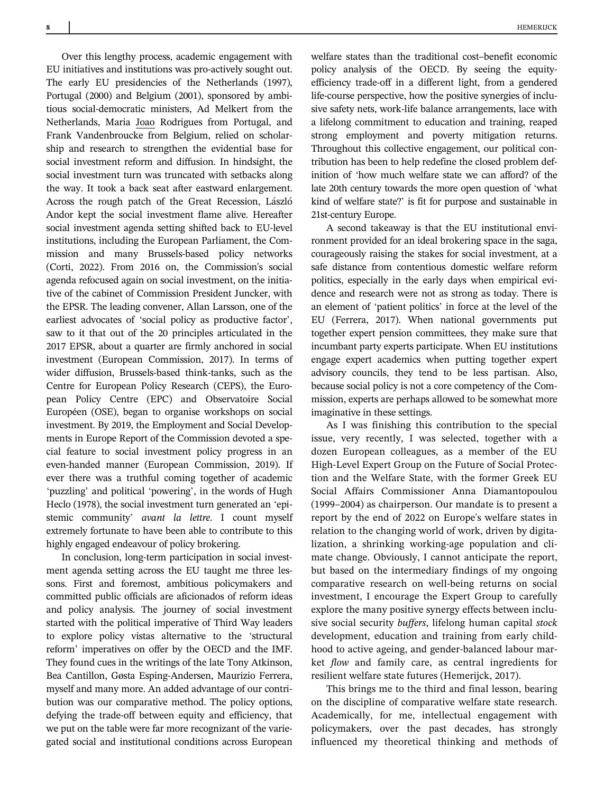Over this lengthy process, academic engagement with EU initiatives and institutions was pro-actively sought out. The early EU presidencies of the Netherlands (1997), Portugal (2000) and Belgium (2001), sponsored by ambitious social-democratic ministers, Ad Melkert from the Netherlands, Maria Joao Rodrigues from Portugal, and Frank Vandenbroucke from Belgium, relied on scholarship and research to strengthen the evidential base for social investment reform and diffusion. In hindsight, the social investment turn was truncated with setbacks along the way. It took a back seat after eastward enlargement. Across the rough patch of the Great Recession, László Andor kept the social investment flame alive. Hereafter social investment agenda setting shifted back to EU-level institutions, including the European Parliament, the Commission and many Brussels-based policy networks (Corti, 2022). From 2016 on, the Commission's social agenda refocused again on social investment, on the initiative of the cabinet of Commission President Juncker, with the EPSR. The leading convener, Allan Larsson, one of the earliest advocates of 'social policy as productive factor', saw to it that out of the 20 principles articulated in the 2017 EPSR, about a quarter are firmly anchored in social investment (European Commission, 2017). In terms of wider diffusion, Brussels-based think-tanks, such as the Centre for European Policy Research (CEPS), the European Policy Centre (EPC) and Observatoire Social Européen (OSE), began to organise workshops on social investment. By 2019, the Employment and Social Developments in Europe Report of the Commission devoted a special feature to social investment policy progress in an even-handed manner (European Commission, 2019). If ever there was a truthful coming together of academic 'puzzling' and political 'powering', in the words of Hugh Heclo (1978), the social investment turn generated an 'epistemic community' avant la lettre. I count myself extremely fortunate to have been able to contribute to this highly engaged endeavour of policy brokering.

In conclusion, long-term participation in social investment agenda setting across the EU taught me three lessons. First and foremost, ambitious policymakers and committed public officials are aficionados of reform ideas and policy analysis. The journey of social investment started with the political imperative of Third Way leaders to explore policy vistas alternative to the 'structural reform' imperatives on offer by the OECD and the IMF. They found cues in the writings of the late Tony Atkinson, Bea Cantillon, Gøsta Esping-Andersen, Maurizio Ferrera, myself and many more. An added advantage of our contribution was our comparative method. The policy options, defying the trade-off between equity and efficiency, that we put on the table were far more recognizant of the variegated social and institutional conditions across European welfare states than the traditional cost–benefit economic policy analysis of the OECD. By seeing the equityefficiency trade-off in a different light, from a gendered life-course perspective, how the positive synergies of inclusive safety nets, work-life balance arrangements, lace with a lifelong commitment to education and training, reaped strong employment and poverty mitigation returns. Throughout this collective engagement, our political contribution has been to help redefine the closed problem definition of 'how much welfare state we can afford? of the late 20th century towards the more open question of 'what kind of welfare state?' is fit for purpose and sustainable in 21st-century Europe.

A second takeaway is that the EU institutional environment provided for an ideal brokering space in the saga, courageously raising the stakes for social investment, at a safe distance from contentious domestic welfare reform politics, especially in the early days when empirical evidence and research were not as strong as today. There is an element of 'patient politics' in force at the level of the EU (Ferrera, 2017). When national governments put together expert pension committees, they make sure that incumbant party experts participate. When EU institutions engage expert academics when putting together expert advisory councils, they tend to be less partisan. Also, because social policy is not a core competency of the Commission, experts are perhaps allowed to be somewhat more imaginative in these settings.

As I was finishing this contribution to the special issue, very recently, I was selected, together with a dozen European colleagues, as a member of the EU High-Level Expert Group on the Future of Social Protection and the Welfare State, with the former Greek EU Social Affairs Commissioner Anna Diamantopoulou (1999–2004) as chairperson. Our mandate is to present a report by the end of 2022 on Europe's welfare states in relation to the changing world of work, driven by digitalization, a shrinking working-age population and climate change. Obviously, I cannot anticipate the report, but based on the intermediary findings of my ongoing comparative research on well-being returns on social investment, I encourage the Expert Group to carefully explore the many positive synergy effects between inclusive social security buffers, lifelong human capital stock development, education and training from early childhood to active ageing, and gender-balanced labour market flow and family care, as central ingredients for resilient welfare state futures (Hemerijck, 2017).

This brings me to the third and final lesson, bearing on the discipline of comparative welfare state research. Academically, for me, intellectual engagement with policymakers, over the past decades, has strongly influenced my theoretical thinking and methods of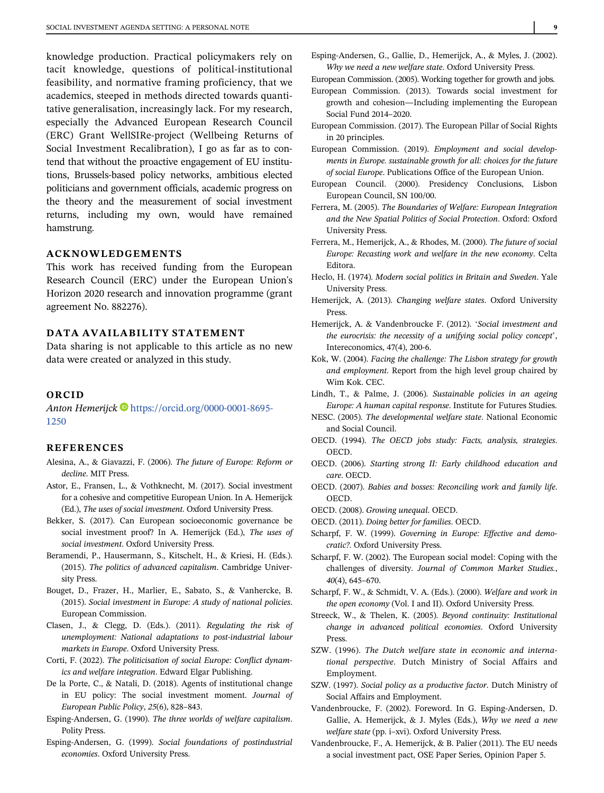knowledge production. Practical policymakers rely on tacit knowledge, questions of political-institutional feasibility, and normative framing proficiency, that we academics, steeped in methods directed towards quantitative generalisation, increasingly lack. For my research, especially the Advanced European Research Council (ERC) Grant WellSIRe-project (Wellbeing Returns of Social Investment Recalibration), I go as far as to contend that without the proactive engagement of EU institutions, Brussels-based policy networks, ambitious elected politicians and government officials, academic progress on the theory and the measurement of social investment returns, including my own, would have remained hamstrung.

### ACKNOWLEDGEMENTS

This work has received funding from the European Research Council (ERC) under the European Union's Horizon 2020 research and innovation programme (grant agreement No. 882276).

#### DATA AVAILABILITY STATEMENT

Data sharing is not applicable to this article as no new data were created or analyzed in this study.

#### ORCID

Anton Hemerijck [https://orcid.org/0000-0001-8695-](https://orcid.org/0000-0001-8695-1250) [1250](https://orcid.org/0000-0001-8695-1250)

#### REFERENCES

- Alesina, A., & Giavazzi, F. (2006). The future of Europe: Reform or decline. MIT Press.
- Astor, E., Fransen, L., & Vothknecht, M. (2017). Social investment for a cohesive and competitive European Union. In A. Hemerijck (Ed.), The uses of social investment. Oxford University Press.
- Bekker, S. (2017). Can European socioeconomic governance be social investment proof? In A. Hemerijck (Ed.), The uses of social investment. Oxford University Press.
- Beramendi, P., Hausermann, S., Kitschelt, H., & Kriesi, H. (Eds.). (2015). The politics of advanced capitalism. Cambridge University Press.
- Bouget, D., Frazer, H., Marlier, E., Sabato, S., & Vanhercke, B. (2015). Social investment in Europe: A study of national policies. European Commission.
- Clasen, J., & Clegg, D. (Eds.). (2011). Regulating the risk of unemployment: National adaptations to post-industrial labour markets in Europe. Oxford University Press.
- Corti, F. (2022). The politicisation of social Europe: Conflict dynamics and welfare integration. Edward Elgar Publishing.
- De la Porte, C., & Natali, D. (2018). Agents of institutional change in EU policy: The social investment moment. Journal of European Public Policy, 25(6), 828–843.
- Esping-Andersen, G. (1990). The three worlds of welfare capitalism. Polity Press.
- Esping-Andersen, G. (1999). Social foundations of postindustrial economies. Oxford University Press.

Esping-Andersen, G., Gallie, D., Hemerijck, A., & Myles, J. (2002). Why we need a new welfare state. Oxford University Press.

European Commission. (2005). Working together for growth and jobs.

- European Commission. (2013). Towards social investment for growth and cohesion—Including implementing the European Social Fund 2014–2020.
- European Commission. (2017). The European Pillar of Social Rights in 20 principles.
- European Commission. (2019). Employment and social developments in Europe. sustainable growth for all: choices for the future of social Europe. Publications Office of the European Union.
- European Council. (2000). Presidency Conclusions, Lisbon European Council, SN 100/00.
- Ferrera, M. (2005). The Boundaries of Welfare: European Integration and the New Spatial Politics of Social Protection. Oxford: Oxford University Press.
- Ferrera, M., Hemerijck, A., & Rhodes, M. (2000). The future of social Europe: Recasting work and welfare in the new economy. Celta Editora.
- Heclo, H. (1974). Modern social politics in Britain and Sweden. Yale University Press.
- Hemerijck, A. (2013). Changing welfare states. Oxford University Press.
- Hemerijck, A. & Vandenbroucke F. (2012). 'Social investment and the eurocrisis: the necessity of a unifying social policy concept', Intereconomics, 47(4), 200-6.
- Kok, W. (2004). Facing the challenge: The Lisbon strategy for growth and employment. Report from the high level group chaired by Wim Kok. CEC.
- Lindh, T., & Palme, J. (2006). Sustainable policies in an ageing Europe: A human capital response. Institute for Futures Studies.
- NESC. (2005). The developmental welfare state. National Economic and Social Council.
- OECD. (1994). The OECD jobs study: Facts, analysis, strategies. OECD.
- OECD. (2006). Starting strong II: Early childhood education and care. OECD.
- OECD. (2007). Babies and bosses: Reconciling work and family life. OECD.
- OECD. (2008). Growing unequal. OECD.
- OECD. (2011). Doing better for families. OECD.
- Scharpf, F. W. (1999). Governing in Europe: Effective and democratic?. Oxford University Press.
- Scharpf, F. W. (2002). The European social model: Coping with the challenges of diversity. Journal of Common Market Studies., 40(4), 645–670.
- Scharpf, F. W., & Schmidt, V. A. (Eds.). (2000). Welfare and work in the open economy (Vol. I and II). Oxford University Press.
- Streeck, W., & Thelen, K. (2005). Beyond continuity: Institutional change in advanced political economies. Oxford University Press.
- SZW. (1996). The Dutch welfare state in economic and international perspective. Dutch Ministry of Social Affairs and Employment.
- SZW. (1997). Social policy as a productive factor. Dutch Ministry of Social Affairs and Employment.
- Vandenbroucke, F. (2002). Foreword. In G. Esping-Andersen, D. Gallie, A. Hemerijck, & J. Myles (Eds.), Why we need a new welfare state (pp. i–xvi). Oxford University Press.
- Vandenbroucke, F., A. Hemerijck, & B. Palier (2011). The EU needs a social investment pact, OSE Paper Series, Opinion Paper 5.